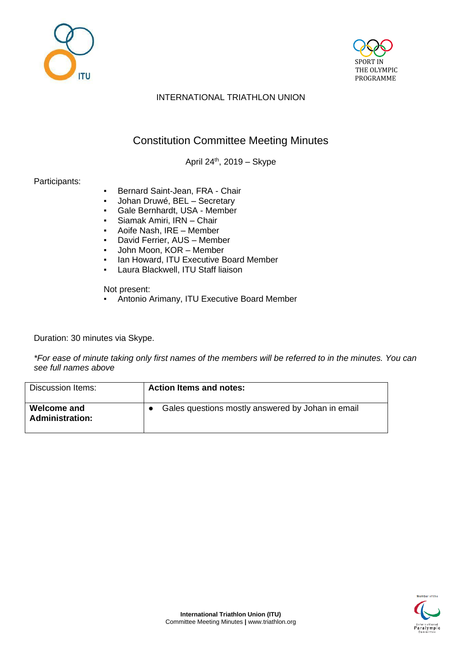



# INTERNATIONAL TRIATHLON UNION

# Constitution Committee Meeting Minutes

April  $24<sup>th</sup>$ , 2019 – Skype

### Participants:

- Bernard Saint-Jean, FRA Chair
- Johan Druwé, BEL Secretary
- Gale Bernhardt, USA Member
- Siamak Amiri, IRN Chair
- Aoife Nash, IRE Member
- David Ferrier, AUS Member
- John Moon, KOR Member
- Ian Howard, ITU Executive Board Member
- Laura Blackwell, ITU Staff liaison

Not present:

Antonio Arimany, ITU Executive Board Member

Duration: 30 minutes via Skype.

*\*For ease of minute taking only first names of the members will be referred to in the minutes. You can see full names above*

| Discussion Items:                     | <b>Action Items and notes:</b>                    |
|---------------------------------------|---------------------------------------------------|
| Welcome and<br><b>Administration:</b> | Gales questions mostly answered by Johan in email |

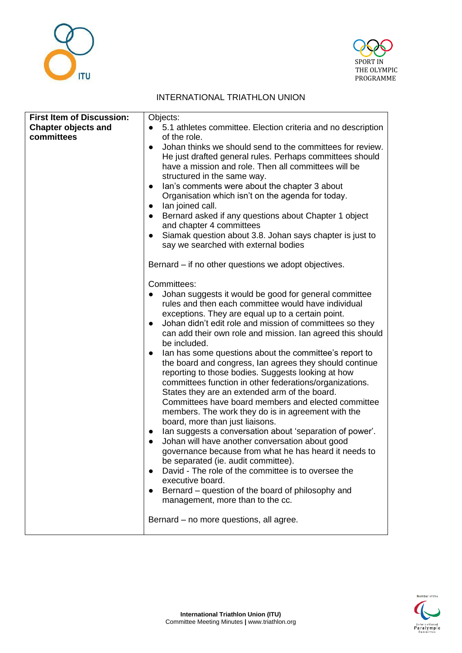



#### INTERNATIONAL TRIATHLON UNION

| <b>First Item of Discussion:</b> | Objects:                                                                                                                                                                                                                                                                                                                                                                                                                                                                                                                                                                                                                                                                                                                                                                                                                                                                                                                                                                                                                                                                                                                                                                                                                                                                                                                                                                                                                                                                                                                                                                                                           |
|----------------------------------|--------------------------------------------------------------------------------------------------------------------------------------------------------------------------------------------------------------------------------------------------------------------------------------------------------------------------------------------------------------------------------------------------------------------------------------------------------------------------------------------------------------------------------------------------------------------------------------------------------------------------------------------------------------------------------------------------------------------------------------------------------------------------------------------------------------------------------------------------------------------------------------------------------------------------------------------------------------------------------------------------------------------------------------------------------------------------------------------------------------------------------------------------------------------------------------------------------------------------------------------------------------------------------------------------------------------------------------------------------------------------------------------------------------------------------------------------------------------------------------------------------------------------------------------------------------------------------------------------------------------|
| <b>Chapter objects and</b>       | 5.1 athletes committee. Election criteria and no description                                                                                                                                                                                                                                                                                                                                                                                                                                                                                                                                                                                                                                                                                                                                                                                                                                                                                                                                                                                                                                                                                                                                                                                                                                                                                                                                                                                                                                                                                                                                                       |
| committees                       | of the role.                                                                                                                                                                                                                                                                                                                                                                                                                                                                                                                                                                                                                                                                                                                                                                                                                                                                                                                                                                                                                                                                                                                                                                                                                                                                                                                                                                                                                                                                                                                                                                                                       |
|                                  | Johan thinks we should send to the committees for review.<br>$\bullet$<br>He just drafted general rules. Perhaps committees should<br>have a mission and role. Then all committees will be<br>structured in the same way.<br>lan's comments were about the chapter 3 about<br>Organisation which isn't on the agenda for today.<br>lan joined call.<br>$\bullet$<br>Bernard asked if any questions about Chapter 1 object<br>$\bullet$<br>and chapter 4 committees<br>Siamak question about 3.8. Johan says chapter is just to<br>say we searched with external bodies<br>Bernard – if no other questions we adopt objectives.<br>Committees:<br>Johan suggests it would be good for general committee<br>rules and then each committee would have individual<br>exceptions. They are equal up to a certain point.<br>Johan didn't edit role and mission of committees so they<br>$\bullet$<br>can add their own role and mission. Ian agreed this should<br>be included.<br>Ian has some questions about the committee's report to<br>$\bullet$<br>the board and congress, Ian agrees they should continue<br>reporting to those bodies. Suggests looking at how<br>committees function in other federations/organizations.<br>States they are an extended arm of the board.<br>Committees have board members and elected committee<br>members. The work they do is in agreement with the<br>board, more than just liaisons.<br>lan suggests a conversation about 'separation of power'.<br>$\bullet$<br>Johan will have another conversation about good<br>governance because from what he has heard it needs to |
|                                  | be separated (ie. audit committee).<br>David - The role of the committee is to oversee the<br>executive board.                                                                                                                                                                                                                                                                                                                                                                                                                                                                                                                                                                                                                                                                                                                                                                                                                                                                                                                                                                                                                                                                                                                                                                                                                                                                                                                                                                                                                                                                                                     |
|                                  | Bernard – question of the board of philosophy and<br>management, more than to the cc.                                                                                                                                                                                                                                                                                                                                                                                                                                                                                                                                                                                                                                                                                                                                                                                                                                                                                                                                                                                                                                                                                                                                                                                                                                                                                                                                                                                                                                                                                                                              |
|                                  | Bernard – no more questions, all agree.                                                                                                                                                                                                                                                                                                                                                                                                                                                                                                                                                                                                                                                                                                                                                                                                                                                                                                                                                                                                                                                                                                                                                                                                                                                                                                                                                                                                                                                                                                                                                                            |